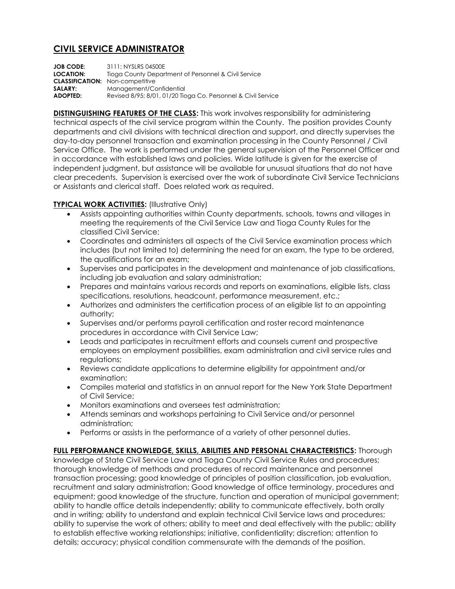## **CIVIL SERVICE ADMINISTRATOR**

**JOB CODE:** 3111; NYSLRS 04500E **LOCATION:** Tioga County Department of Personnel & Civil Service **CLASSIFICATION:** Non-competitive **SALARY:** Management/Confidential **ADOPTED:** Revised 8/95; 8/01, 01/20 Tioga Co. Personnel & Civil Service

**DISTINGUISHING FEATURES OF THE CLASS:** This work involves responsibility for administering technical aspects of the civil service program within the County. The position provides County departments and civil divisions with technical direction and support, and directly supervises the day-to-day personnel transaction and examination processing in the County Personnel / Civil Service Office. The work is performed under the general supervision of the Personnel Officer and in accordance with established laws and policies. Wide latitude is given for the exercise of independent judgment, but assistance will be available for unusual situations that do not have clear precedents. Supervision is exercised over the work of subordinate Civil Service Technicians or Assistants and clerical staff. Does related work as required.

## **TYPICAL WORK ACTIVITIES: (Illustrative Only)**

- Assists appointing authorities within County departments, schools, towns and villages in meeting the requirements of the Civil Service Law and Tioga County Rules for the classified Civil Service;
- Coordinates and administers all aspects of the Civil Service examination process which includes (but not limited to) determining the need for an exam, the type to be ordered, the qualifications for an exam;
- Supervises and participates in the development and maintenance of job classifications, including job evaluation and salary administration;
- Prepares and maintains various records and reports on examinations, eligible lists, class specifications, resolutions, headcount, performance measurement, etc.;
- Authorizes and administers the certification process of an eligible list to an appointing authority;
- Supervises and/or performs payroll certification and roster record maintenance procedures in accordance with Civil Service Law;
- Leads and participates in recruitment efforts and counsels current and prospective employees on employment possibilities, exam administration and civil service rules and regulations;
- Reviews candidate applications to determine eligibility for appointment and/or examination;
- Compiles material and statistics in an annual report for the New York State Department of Civil Service;
- Monitors examinations and oversees test administration;
- Attends seminars and workshops pertaining to Civil Service and/or personnel administration;
- Performs or assists in the performance of a variety of other personnel duties.

## **FULL PERFORMANCE KNOWLEDGE, SKILLS, ABILITIES AND PERSONAL CHARACTERISTICS:** Thorough

knowledge of State Civil Service Law and Tioga County Civil Service Rules and procedures; thorough knowledge of methods and procedures of record maintenance and personnel transaction processing; good knowledge of principles of position classification, job evaluation, recruitment and salary administration; Good knowledge of office terminology, procedures and equipment; good knowledge of the structure, function and operation of municipal government; ability to handle office details independently; ability to communicate effectively, both orally and in writing; ability to understand and explain technical Civil Service laws and procedures; ability to supervise the work of others; ability to meet and deal effectively with the public; ability to establish effective working relationships; initiative, confidentiality; discretion; attention to details; accuracy; physical condition commensurate with the demands of the position.